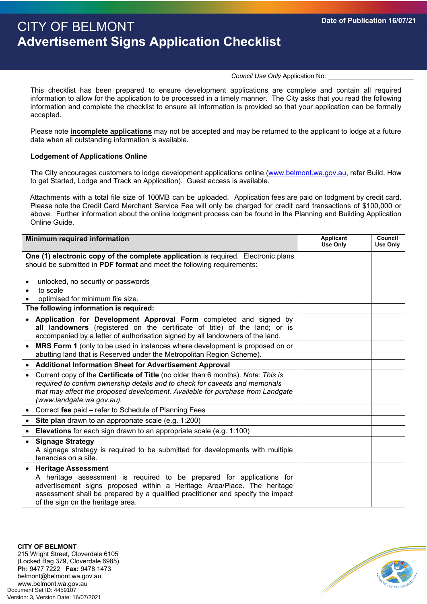*Council Use Only* Application No: \_\_\_\_\_\_\_\_\_\_\_\_\_\_\_\_\_\_\_\_\_\_\_\_

This checklist has been prepared to ensure development applications are complete and contain all required information to allow for the application to be processed in a timely manner. The City asks that you read the following information and complete the checklist to ensure all information is provided so that your application can be formally accepted.

Please note **incomplete applications** may not be accepted and may be returned to the applicant to lodge at a future date when all outstanding information is available.

## **Lodgement of Applications Online**

The City encourages customers to lodge development applications online [\(www.belmont.wa.gov.au,](http://www.belmont.wa.gov.au/) refer Build, How to get Started, Lodge and Track an Application). Guest access is available.

Attachments with a total file size of 100MB can be uploaded. Application fees are paid on lodgment by credit card. Please note the Credit Card Merchant Service Fee will only be charged for credit card transactions of \$100,000 or above. Further information about the online lodgment process can be found in the Planning and Building Application Online Guide.

| <b>Minimum required information</b>                                                                                                                                                                                                                                                                                 | Applicant<br>Use Only | Council<br>Use Only |
|---------------------------------------------------------------------------------------------------------------------------------------------------------------------------------------------------------------------------------------------------------------------------------------------------------------------|-----------------------|---------------------|
| One (1) electronic copy of the complete application is required. Electronic plans<br>should be submitted in PDF format and meet the following requirements:                                                                                                                                                         |                       |                     |
| unlocked, no security or passwords                                                                                                                                                                                                                                                                                  |                       |                     |
| to scale                                                                                                                                                                                                                                                                                                            |                       |                     |
| optimised for minimum file size.                                                                                                                                                                                                                                                                                    |                       |                     |
| The following information is required:                                                                                                                                                                                                                                                                              |                       |                     |
| Application for Development Approval Form completed and signed by<br>$\bullet$<br>all landowners (registered on the certificate of title) of the land; or is<br>accompanied by a letter of authorisation signed by all landowners of the land.                                                                      |                       |                     |
| MRS Form 1 (only to be used in instances where development is proposed on or<br>$\bullet$<br>abutting land that is Reserved under the Metropolitan Region Scheme).                                                                                                                                                  |                       |                     |
| <b>Additional Information Sheet for Advertisement Approval</b>                                                                                                                                                                                                                                                      |                       |                     |
| Current copy of the Certificate of Title (no older than 6 months). Note: This is<br>$\bullet$<br>required to confirm ownership details and to check for caveats and memorials<br>that may affect the proposed development. Available for purchase from Landgate<br>(www.landgate.wa.gov.au).                        |                       |                     |
| Correct fee paid - refer to Schedule of Planning Fees                                                                                                                                                                                                                                                               |                       |                     |
| Site plan drawn to an appropriate scale (e.g. 1:200)<br>$\bullet$                                                                                                                                                                                                                                                   |                       |                     |
| <b>Elevations</b> for each sign drawn to an appropriate scale (e.g. 1:100)<br>$\bullet$                                                                                                                                                                                                                             |                       |                     |
| <b>Signage Strategy</b><br>$\bullet$<br>A signage strategy is required to be submitted for developments with multiple<br>tenancies on a site.                                                                                                                                                                       |                       |                     |
| <b>Heritage Assessment</b><br>$\bullet$<br>A heritage assessment is required to be prepared for applications for<br>advertisement signs proposed within a Heritage Area/Place. The heritage<br>assessment shall be prepared by a qualified practitioner and specify the impact<br>of the sign on the heritage area. |                       |                     |

**CITY OF BELMONT** 215 Wright Street, Cloverdale 6105 (Locked Bag 379, Cloverdale 6985) **Ph:** 9477 7222 **Fax:** 9478 1473 belmont@belmont.wa.gov.au www.belmont.wa.gov.au<br>Document Set ID: 4459107 Version: 3, Version Date: 16/07/2021